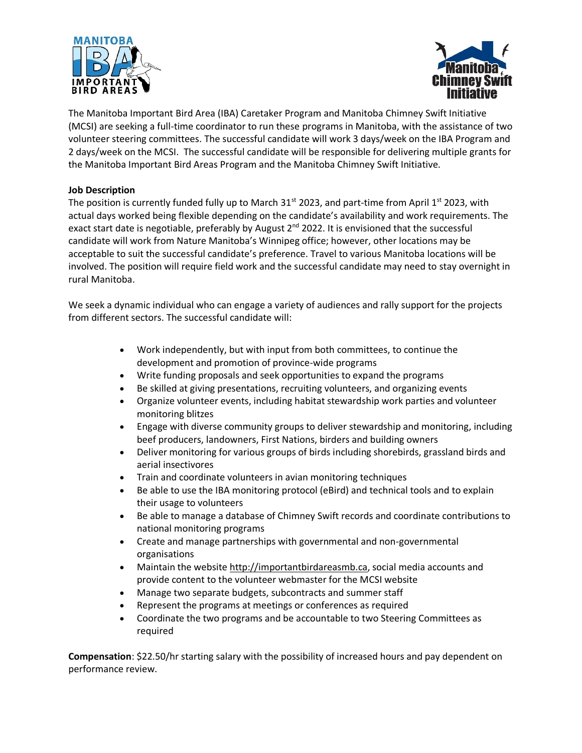



The Manitoba Important Bird Area (IBA) Caretaker Program and Manitoba Chimney Swift Initiative (MCSI) are seeking a full-time coordinator to run these programs in Manitoba, with the assistance of two volunteer steering committees. The successful candidate will work 3 days/week on the IBA Program and 2 days/week on the MCSI. The successful candidate will be responsible for delivering multiple grants for the Manitoba Important Bird Areas Program and the Manitoba Chimney Swift Initiative.

## **Job Description**

The position is currently funded fully up to March  $31^{st}$  2023, and part-time from April 1st 2023, with actual days worked being flexible depending on the candidate's availability and work requirements. The exact start date is negotiable, preferably by August 2<sup>nd</sup> 2022. It is envisioned that the successful candidate will work from Nature Manitoba's Winnipeg office; however, other locations may be acceptable to suit the successful candidate's preference. Travel to various Manitoba locations will be involved. The position will require field work and the successful candidate may need to stay overnight in rural Manitoba.

We seek a dynamic individual who can engage a variety of audiences and rally support for the projects from different sectors. The successful candidate will:

- Work independently, but with input from both committees, to continue the development and promotion of province-wide programs
- Write funding proposals and seek opportunities to expand the programs
- Be skilled at giving presentations, recruiting volunteers, and organizing events
- Organize volunteer events, including habitat stewardship work parties and volunteer monitoring blitzes
- Engage with diverse community groups to deliver stewardship and monitoring, including beef producers, landowners, First Nations, birders and building owners
- Deliver monitoring for various groups of birds including shorebirds, grassland birds and aerial insectivores
- Train and coordinate volunteers in avian monitoring techniques
- Be able to use the IBA monitoring protocol (eBird) and technical tools and to explain their usage to volunteers
- Be able to manage a database of Chimney Swift records and coordinate contributions to national monitoring programs
- Create and manage partnerships with governmental and non-governmental organisations
- Maintain the website [http://importantbirdareasmb.ca,](http://importantbirdareasmb.ca/) social media accounts and provide content to the volunteer webmaster for the MCSI website
- Manage two separate budgets, subcontracts and summer staff
- Represent the programs at meetings or conferences as required
- Coordinate the two programs and be accountable to two Steering Committees as required

**Compensation**: \$22.50/hr starting salary with the possibility of increased hours and pay dependent on performance review.